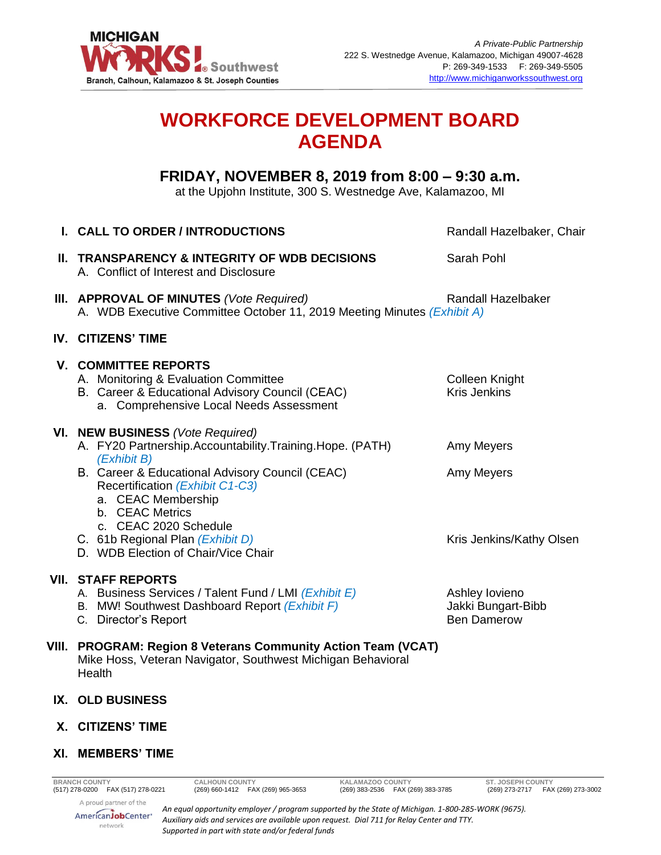

# **WORKFORCE DEVELOPMENT BOARD AGENDA**

## **FRIDAY, NOVEMBER 8, 2019 from 8:00 – 9:30 a.m.**

at the Upjohn Institute, 300 S. Westnedge Ave, Kalamazoo, MI

| I. CALL TO ORDER / INTRODUCTIONS                                                                                                                                    | Randall Hazelbaker, Chair                                  |
|---------------------------------------------------------------------------------------------------------------------------------------------------------------------|------------------------------------------------------------|
| II. TRANSPARENCY & INTEGRITY OF WDB DECISIONS<br>A. Conflict of Interest and Disclosure                                                                             | Sarah Pohl                                                 |
| III. APPROVAL OF MINUTES (Vote Required)<br>A. WDB Executive Committee October 11, 2019 Meeting Minutes (Exhibit A)                                                 | <b>Randall Hazelbaker</b>                                  |
| IV. CITIZENS' TIME                                                                                                                                                  |                                                            |
| <b>V. COMMITTEE REPORTS</b><br>A. Monitoring & Evaluation Committee<br>B. Career & Educational Advisory Council (CEAC)<br>a. Comprehensive Local Needs Assessment   | <b>Colleen Knight</b><br><b>Kris Jenkins</b>               |
| VI. NEW BUSINESS (Vote Required)<br>A. FY20 Partnership.Accountability.Training.Hope. (PATH)                                                                        | Amy Meyers                                                 |
| (Exhibit B)<br>B. Career & Educational Advisory Council (CEAC)<br>Recertification (Exhibit C1-C3)<br>a. CEAC Membership<br>b. CEAC Metrics<br>c. CEAC 2020 Schedule | Amy Meyers                                                 |
| C. 61b Regional Plan (Exhibit D)<br>D. WDB Election of Chair/Vice Chair                                                                                             | Kris Jenkins/Kathy Olsen                                   |
| <b>VII. STAFF REPORTS</b><br>A. Business Services / Talent Fund / LMI (Exhibit E)<br>B. MW! Southwest Dashboard Report (Exhibit F)<br>C. Director's Report          | Ashley lovieno<br>Jakki Bungart-Bibb<br><b>Ben Damerow</b> |
| VIII. PROGRAM: Region 8 Veterans Community Action Team (VCAT)<br>Mike Hoss, Veteran Navigator, Southwest Michigan Behavioral<br>Health                              |                                                            |
| IX. OLD BUSINESS                                                                                                                                                    |                                                            |
| X. CITIZENS' TIME                                                                                                                                                   |                                                            |
|                                                                                                                                                                     |                                                            |

network